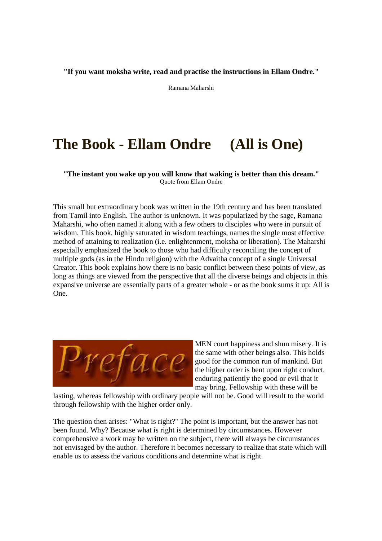**"If you want moksha write, read and practise the instructions in Ellam Ondre."**

Ramana Maharshi

## **The Book - Ellam Ondre (All is One)**

**"The instant you wake up you will know that waking is better than this dream."** Quote from Ellam Ondre

This small but extraordinary book was written in the 19th century and has been translated from Tamil into English. The author is unknown. It was popularized by the sage, Ramana Maharshi, who often named it along with a few others to disciples who were in pursuit of wisdom. This book, highly saturated in wisdom teachings, names the single most effective method of attaining to realization (i.e. enlightenment, moksha or liberation). The Maharshi especially emphasized the book to those who had difficulty reconciling the concept of multiple gods (as in the Hindu religion) with the Advaitha concept of a single Universal Creator. This book explains how there is no basic conflict between these points of view, as long as things are viewed from the perspective that all the diverse beings and objects in this expansive universe are essentially parts of a greater whole - or as the book sums it up: All is One.



MEN court happiness and shun misery. It is the same with other beings also. This holds good for the common run of mankind. But the higher order is bent upon right conduct, enduring patiently the good or evil that it may bring. Fellowship with these will be

lasting, whereas fellowship with ordinary people will not be. Good will result to the world through fellowship with the higher order only.

The question then arises: "What is right?'' The point is important, but the answer has not been found. Why? Because what is right is determined by circumstances. However comprehensive a work may be written on the subject, there will always be circumstances not envisaged by the author. Therefore it becomes necessary to realize that state which will enable us to assess the various conditions and determine what is right.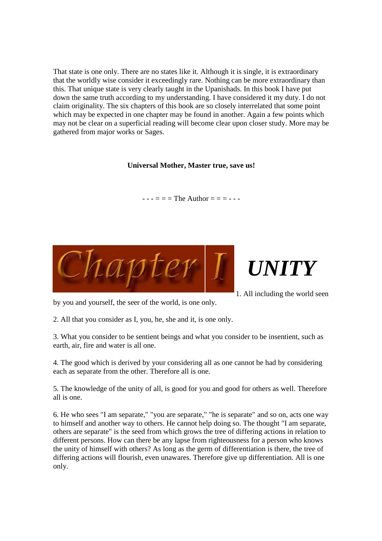That state is one only. There are no states like it. Although it is single, it is extraordinary that the worldly wise consider it exceedingly rare. Nothing can be more extraordinary than this. That unique state is very clearly taught in the Upanishads. In this book I have put down the same truth according to my understanding. I have considered it my duty. I do not claim originality. The six chapters of this book are so closely interrelated that some point which may be expected in one chapter may be found in another. Again a few points which may not be clear on a superficial reading will become clear upon closer study. More may be gathered from major works or Sages.

## **Universal Mother, Master true, save us!**

 $--- = = = The Author = =---$ 





1. All including the world seen

by you and yourself, the seer of the world, is one only.

2. All that you consider as I, you, he, she and it, is one only.

3. What you consider to be sentient beings and what you consider to be insentient, such as earth, air, fire and water is all one.

4. The good which is derived by your considering all as one cannot be had by considering each as separate from the other. Therefore all is one.

5. The knowledge of the unity of all, is good for you and good for others as well. Therefore all is one.

6. He who sees "I am separate," "you are separate," "he is separate" and so on, acts one way to himself and another way to others. He cannot help doing so. The thought "I am separate, others are separate" is the seed from which grows the tree of differing actions in relation to different persons. How can there be any lapse from righteousness for a person who knows the unity of himself with others? As long as the germ of differentiation is there, the tree of differing actions will flourish, even unawares. Therefore give up differentiation. All is one only.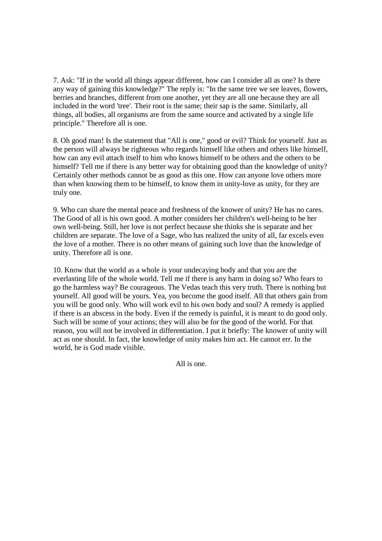7. Ask: "If in the world all things appear different, how can I consider all as one? Is there any way of gaining this knowledge?" The reply is: "In the same tree we see leaves, flowers, berries and branches, different from one another, yet they are all one because they are all included in the word 'tree'. Their root is the same; their sap is the same. Similarly, all things, all bodies, all organisms are from the same source and activated by a single life principle." Therefore all is one.

8. Oh good man! Is the statement that "All is one," good or evil? Think for yourself. Just as the person will always be righteous who regards himself like others and others like himself, how can any evil attach itself to him who knows himself to be others and the others to be himself? Tell me if there is any better way for obtaining good than the knowledge of unity? Certainly other methods cannot be as good as this one. How can anyone love others more than when knowing them to be himself, to know them in unity-love as unity, for they are truly one.

9. Who can share the mental peace and freshness of the knower of unity? He has no cares. The Good of all is his own good. A mother considers her children's well-being to be her own well-being. Still, her love is not perfect because she thinks she is separate and her children are separate. The love of a Sage, who has realized the unity of all, far excels even the love of a mother. There is no other means of gaining such love than the knowledge of unity. Therefore all is one.

10. Know that the world as a whole is your undecaying body and that you are the everlasting life of the whole world. Tell me if there is any harm in doing so? Who fears to go the harmless way? Be courageous. The Vedas teach this very truth. There is nothing but yourself. All good will be yours. Yea, you become the good itself. All that others gain from you will be good only. Who will work evil to his own body and soul? A remedy is applied if there is an abscess in the body. Even if the remedy is painful, it is meant to do good only. Such will be some of your actions; they will also be for the good of the world. For that reason, you will not be involved in differentiation. I put it briefly: The knower of unity will act as one should. In fact, the knowledge of unity makes him act. He cannot err. In the world, he is God made visible.

All is one.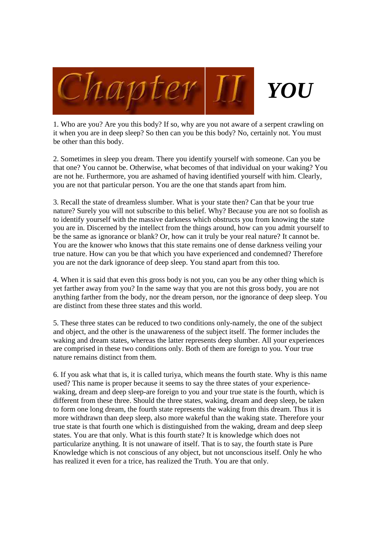

1. Who are you? Are you this body? If so, why are you not aware of a serpent crawling on it when you are in deep sleep? So then can you be this body? No, certainly not. You must be other than this body.

2. Sometimes in sleep you dream. There you identify yourself with someone. Can you be that one? You cannot be. Otherwise, what becomes of that individual on your waking? You are not he. Furthermore, you are ashamed of having identified yourself with him. Clearly, you are not that particular person. You are the one that stands apart from him.

3. Recall the state of dreamless slumber. What is your state then? Can that be your true nature? Surely you will not subscribe to this belief. Why? Because you are not so foolish as to identify yourself with the massive darkness which obstructs you from knowing the state you are in. Discerned by the intellect from the things around, how can you admit yourself to be the same as ignorance or blank? Or, how can it truly be your real nature? It cannot be. You are the knower who knows that this state remains one of dense darkness veiling your true nature. How can you be that which you have experienced and condemned? Therefore you are not the dark ignorance of deep sleep. You stand apart from this too.

4. When it is said that even this gross body is not you, can you be any other thing which is yet farther away from you? In the same way that you are not this gross body, you are not anything farther from the body, nor the dream person, nor the ignorance of deep sleep. You are distinct from these three states and this world.

5. These three states can be reduced to two conditions only-namely, the one of the subject and object, and the other is the unawareness of the subject itself. The former includes the waking and dream states, whereas the latter represents deep slumber. All your experiences are comprised in these two conditions only. Both of them are foreign to you. Your true nature remains distinct from them.

6. If you ask what that is, it is called turiya, which means the fourth state. Why is this name used? This name is proper because it seems to say the three states of your experiencewaking, dream and deep sleep-are foreign to you and your true state is the fourth, which is different from these three. Should the three states, waking, dream and deep sleep, be taken to form one long dream, the fourth state represents the waking from this dream. Thus it is more withdrawn than deep sleep, also more wakeful than the waking state. Therefore your true state is that fourth one which is distinguished from the waking, dream and deep sleep states. You are that only. What is this fourth state? It is knowledge which does not particularize anything. It is not unaware of itself. That is to say, the fourth state is Pure Knowledge which is not conscious of any object, but not unconscious itself. Only he who has realized it even for a trice, has realized the Truth. You are that only.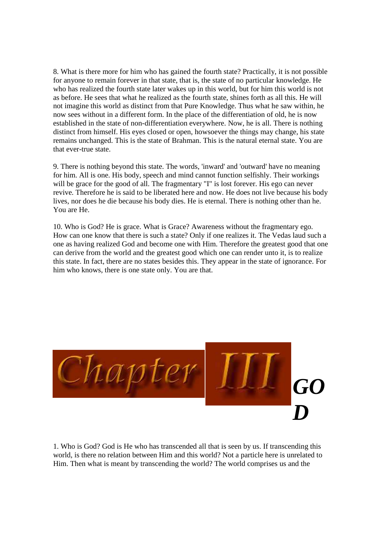8. What is there more for him who has gained the fourth state? Practically, it is not possible for anyone to remain forever in that state, that is, the state of no particular knowledge. He who has realized the fourth state later wakes up in this world, but for him this world is not as before. He sees that what he realized as the fourth state, shines forth as all this. He will not imagine this world as distinct from that Pure Knowledge. Thus what he saw within, he now sees without in a different form. In the place of the differentiation of old, he is now established in the state of non-differentiation everywhere. Now, he is all. There is nothing distinct from himself. His eyes closed or open, howsoever the things may change, his state remains unchanged. This is the state of Brahman. This is the natural eternal state. You are that ever-true state.

9. There is nothing beyond this state. The words, 'inward' and 'outward' have no meaning for him. All is one. His body, speech and mind cannot function selfishly. Their workings will be grace for the good of all. The fragmentary "I" is lost forever. His ego can never revive. Therefore he is said to be liberated here and now. He does not live because his body lives, nor does he die because his body dies. He is eternal. There is nothing other than he. You are He.

10. Who is God? He is grace. What is Grace? Awareness without the fragmentary ego. How can one know that there is such a state? Only if one realizes it. The Vedas laud such a one as having realized God and become one with Him. Therefore the greatest good that one can derive from the world and the greatest good which one can render unto it, is to realize this state. In fact, there are no states besides this. They appear in the state of ignorance. For him who knows, there is one state only. You are that.



1. Who is God? God is He who has transcended all that is seen by us. If transcending this world, is there no relation between Him and this world? Not a particle here is unrelated to Him. Then what is meant by transcending the world? The world comprises us and the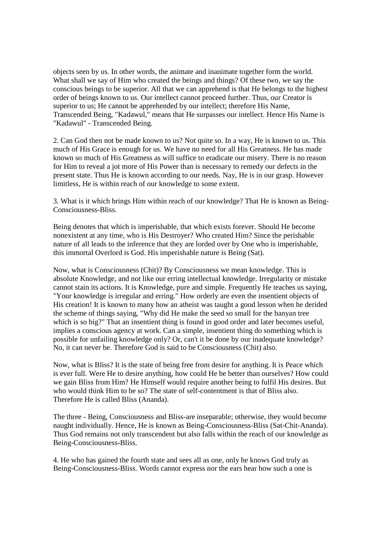objects seen by us. In other words, the animate and inanimate together form the world. What shall we say of Him who created the beings and things? Of these two, we say the conscious beings to be superior. All that we can apprehend is that He belongs to the highest order of beings known to us. Our intellect cannot proceed further. Thus, our Creator is superior to us; He cannot be apprehended by our intellect; therefore His Name, Transcended Being, "Kadawul," means that He surpasses our intellect. Hence His Name is "Kadawul" - Transcended Being.

2. Can God then not be made known to us? Not quite so. In a way, He is known to us. This much of His Grace is enough for us. We have no need for all His Greatness. He has made known so much of His Greatness as will suffice to eradicate our misery. There is no reason for Him to reveal a jot more of His Power than is necessary to remedy our defects in the present state. Thus He is known according to our needs. Nay, He is in our grasp. However limitless, He is within reach of our knowledge to some extent.

3. What is it which brings Him within reach of our knowledge? That He is known as Being-Consciousness-Bliss.

Being denotes that which is imperishable, that which exists forever. Should He become nonexistent at any time, who is His Destroyer? Who created Him? Since the perishable nature of all leads to the inference that they are lorded over by One who is imperishable, this immortal Overlord is God. His imperishable nature is Being (Sat).

Now, what is Consciousness (Chit)? By Consciousness we mean knowledge. This is absolute Knowledge, and not like our erring intellectual knowledge. Irregularity or mistake cannot stain its actions. It is Knowledge, pure and simple. Frequently He teaches us saying, "Your knowledge is irregular and erring." How orderly are even the insentient objects of His creation! It is known to many how an atheist was taught a good lesson when he derided the scheme of things saying, "Why did He make the seed so small for the banyan tree which is so big?" That an insentient thing is found in good order and later becomes useful, implies a conscious agency at work. Can a simple, insentient thing do something which is possible for unfailing knowledge only? Or, can't it be done by our inadequate knowledge? No, it can never be. Therefore God is said to be Consciousness (Chit) also.

Now, what is Bliss? It is the state of being free from desire for anything. It is Peace which is ever full. Were He to desire anything, how could He be better than ourselves? How could we gain Bliss from Him? He Himself would require another being to fulfil His desires. But who would think Him to be so? The state of self-contentment is that of Bliss also. Therefore He is called Bliss (Ananda).

The three - Being, Consciousness and Bliss-are inseparable; otherwise, they would become naught individually. Hence, He is known as Being-Consciousness-Bliss (Sat-Chit-Ananda). Thus God remains not only transcendent but also falls within the reach of our knowledge as Being-Consciousness-Bliss.

4. He who has gained the fourth state and sees all as one, only he knows God truly as Being-Consciousness-Bliss. Words cannot express nor the ears hear how such a one is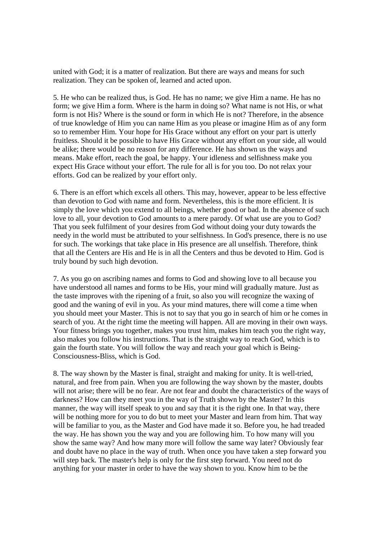united with God; it is a matter of realization. But there are ways and means for such realization. They can be spoken of, learned and acted upon.

5. He who can be realized thus, is God. He has no name; we give Him a name. He has no form; we give Him a form. Where is the harm in doing so? What name is not His, or what form is not His? Where is the sound or form in which He is not? Therefore, in the absence of true knowledge of Him you can name Him as you please or imagine Him as of any form so to remember Him. Your hope for His Grace without any effort on your part is utterly fruitless. Should it be possible to have His Grace without any effort on your side, all would be alike; there would be no reason for any difference. He has shown us the ways and means. Make effort, reach the goal, be happy. Your idleness and selfishness make you expect His Grace without your effort. The rule for all is for you too. Do not relax your efforts. God can be realized by your effort only.

6. There is an effort which excels all others. This may, however, appear to be less effective than devotion to God with name and form. Nevertheless, this is the more efficient. It is simply the love which you extend to all beings, whether good or bad. In the absence of such love to all, your devotion to God amounts to a mere parody. Of what use are you to God? That you seek fulfilment of your desires from God without doing your duty towards the needy in the world must be attributed to your selfishness. In God's presence, there is no use for such. The workings that take place in His presence are all unselfish. Therefore, think that all the Centers are His and He is in all the Centers and thus be devoted to Him. God is truly bound by such high devotion.

7. As you go on ascribing names and forms to God and showing love to all because you have understood all names and forms to be His, your mind will gradually mature. Just as the taste improves with the ripening of a fruit, so also you will recognize the waxing of good and the waning of evil in you. As your mind matures, there will come a time when you should meet your Master. This is not to say that you go in search of him or he comes in search of you. At the right time the meeting will happen. All are moving in their own ways. Your fitness brings you together, makes you trust him, makes him teach you the right way, also makes you follow his instructions. That is the straight way to reach God, which is to gain the fourth state. You will follow the way and reach your goal which is Being-Consciousness-Bliss, which is God.

8. The way shown by the Master is final, straight and making for unity. It is well-tried, natural, and free from pain. When you are following the way shown by the master, doubts will not arise; there will be no fear. Are not fear and doubt the characteristics of the ways of darkness? How can they meet you in the way of Truth shown by the Master? In this manner, the way will itself speak to you and say that it is the right one. In that way, there will be nothing more for you to do but to meet your Master and learn from him. That way will be familiar to you, as the Master and God have made it so. Before you, he had treaded the way. He has shown you the way and you are following him. To how many will you show the same way? And how many more will follow the same way later? Obviously fear and doubt have no place in the way of truth. When once you have taken a step forward you will step back. The master's help is only for the first step forward. You need not do anything for your master in order to have the way shown to you. Know him to be the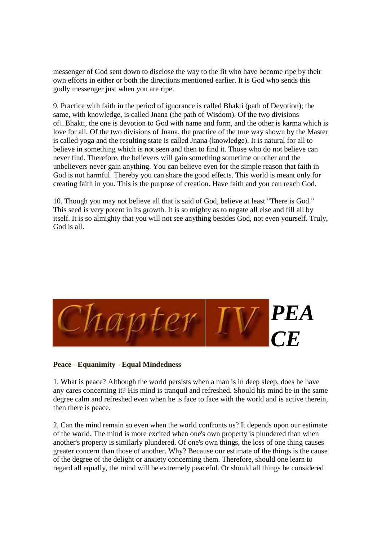messenger of God sent down to disclose the way to the fit who have become ripe by their own efforts in either or both the directions mentioned earlier. It is God who sends this godly messenger just when you are ripe.

9. Practice with faith in the period of ignorance is called Bhakti (path of Devotion); the same, with knowledge, is called Jnana (the path of Wisdom). Of the two divisions of Bhakti, the one is devotion to God with name and form, and the other is karma which is love for all. Of the two divisions of Jnana, the practice of the true way shown by the Master is called yoga and the resulting state is called Jnana (knowledge). It is natural for all to believe in something which is not seen and then to find it. Those who do not believe can never find. Therefore, the believers will gain something sometime or other and the unbelievers never gain anything. You can believe even for the simple reason that faith in God is not harmful. Thereby you can share the good effects. This world is meant only for creating faith in you. This is the purpose of creation. Have faith and you can reach God.

10. Though you may not believe all that is said of God, believe at least "There is God." This seed is very potent in its growth. It is so mighty as to negate all else and fill all by itself. It is so almighty that you will not see anything besides God, not even yourself. Truly, God is all.



**Peace - Equanimity - Equal Mindedness** 

1. What is peace? Although the world persists when a man is in deep sleep, does he have any cares concerning it? His mind is tranquil and refreshed. Should his mind be in the same degree calm and refreshed even when he is face to face with the world and is active therein, then there is peace.

2. Can the mind remain so even when the world confronts us? It depends upon our estimate of the world. The mind is more excited when one's own property is plundered than when another's property is similarly plundered. Of one's own things, the loss of one thing causes greater concern than those of another. Why? Because our estimate of the things is the cause of the degree of the delight or anxiety concerning them. Therefore, should one learn to regard all equally, the mind will be extremely peaceful. Or should all things be considered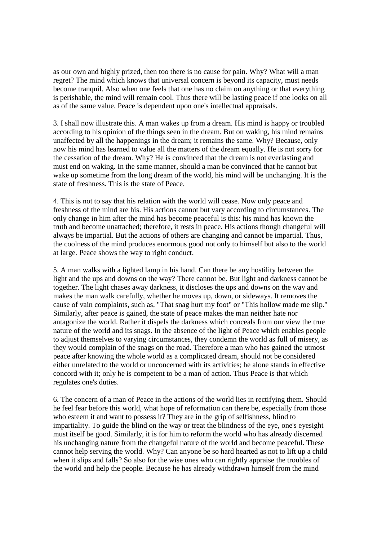as our own and highly prized, then too there is no cause for pain. Why? What will a man regret? The mind which knows that universal concern is beyond its capacity, must needs become tranquil. Also when one feels that one has no claim on anything or that everything is perishable, the mind will remain cool. Thus there will be lasting peace if one looks on all as of the same value. Peace is dependent upon one's intellectual appraisals.

3. I shall now illustrate this. A man wakes up from a dream. His mind is happy or troubled according to his opinion of the things seen in the dream. But on waking, his mind remains unaffected by all the happenings in the dream; it remains the same. Why? Because, only now his mind has learned to value all the matters of the dream equally. He is not sorry for the cessation of the dream. Why? He is convinced that the dream is not everlasting and must end on waking. In the same manner, should a man be convinced that he cannot but wake up sometime from the long dream of the world, his mind will be unchanging. It is the state of freshness. This is the state of Peace.

4. This is not to say that his relation with the world will cease. Now only peace and freshness of the mind are his. His actions cannot but vary according to circumstances. The only change in him after the mind has become peaceful is this: his mind has known the truth and become unattached; therefore, it rests in peace. His actions though changeful will always be impartial. But the actions of others are changing and cannot be impartial. Thus, the coolness of the mind produces enormous good not only to himself but also to the world at large. Peace shows the way to right conduct.

5. A man walks with a lighted lamp in his hand. Can there be any hostility between the light and the ups and downs on the way? There cannot be. But light and darkness cannot be together. The light chases away darkness, it discloses the ups and downs on the way and makes the man walk carefully, whether he moves up, down, or sideways. It removes the cause of vain complaints, such as, "That snag hurt my foot" or "This hollow made me slip." Similarly, after peace is gained, the state of peace makes the man neither hate nor antagonize the world. Rather it dispels the darkness which conceals from our view the true nature of the world and its snags. In the absence of the light of Peace which enables people to adjust themselves to varying circumstances, they condemn the world as full of misery, as they would complain of the snags on the road. Therefore a man who has gained the utmost peace after knowing the whole world as a complicated dream, should not be considered either unrelated to the world or unconcerned with its activities; he alone stands in effective concord with it; only he is competent to be a man of action. Thus Peace is that which regulates one's duties.

6. The concern of a man of Peace in the actions of the world lies in rectifying them. Should he feel fear before this world, what hope of reformation can there be, especially from those who esteem it and want to possess it? They are in the grip of selfishness, blind to impartiality. To guide the blind on the way or treat the blindness of the eye, one's eyesight must itself be good. Similarly, it is for him to reform the world who has already discerned his unchanging nature from the changeful nature of the world and become peaceful. These cannot help serving the world. Why? Can anyone be so hard hearted as not to lift up a child when it slips and falls? So also for the wise ones who can rightly appraise the troubles of the world and help the people. Because he has already withdrawn himself from the mind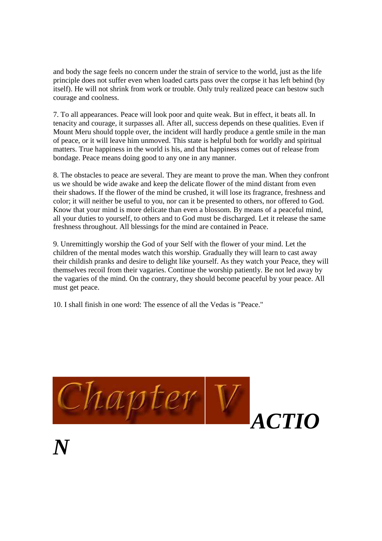and body the sage feels no concern under the strain of service to the world, just as the life principle does not suffer even when loaded carts pass over the corpse it has left behind (by itself). He will not shrink from work or trouble. Only truly realized peace can bestow such courage and coolness.

7. To all appearances. Peace will look poor and quite weak. But in effect, it beats all. In tenacity and courage, it surpasses all. After all, success depends on these qualities. Even if Mount Meru should topple over, the incident will hardly produce a gentle smile in the man of peace, or it will leave him unmoved. This state is helpful both for worldly and spiritual matters. True happiness in the world is his, and that happiness comes out of release from bondage. Peace means doing good to any one in any manner.

8. The obstacles to peace are several. They are meant to prove the man. When they confront us we should be wide awake and keep the delicate flower of the mind distant from even their shadows. If the flower of the mind be crushed, it will lose its fragrance, freshness and color; it will neither be useful to you, nor can it be presented to others, nor offered to God. Know that your mind is more delicate than even a blossom. By means of a peaceful mind, all your duties to yourself, to others and to God must be discharged. Let it release the same freshness throughout. All blessings for the mind are contained in Peace.

9. Unremittingly worship the God of your Self with the flower of your mind. Let the children of the mental modes watch this worship. Gradually they will learn to cast away their childish pranks and desire to delight like yourself. As they watch your Peace, they will themselves recoil from their vagaries. Continue the worship patiently. Be not led away by the vagaries of the mind. On the contrary, they should become peaceful by your peace. All must get peace.

10. I shall finish in one word: The essence of all the Vedas is "Peace."

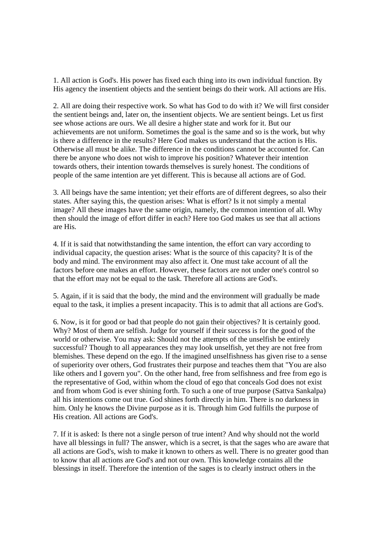1. All action is God's. His power has fixed each thing into its own individual function. By His agency the insentient objects and the sentient beings do their work. All actions are His.

2. All are doing their respective work. So what has God to do with it? We will first consider the sentient beings and, later on, the insentient objects. We are sentient beings. Let us first see whose actions are ours. We all desire a higher state and work for it. But our achievements are not uniform. Sometimes the goal is the same and so is the work, but why is there a difference in the results? Here God makes us understand that the action is His. Otherwise all must be alike. The difference in the conditions cannot be accounted for. Can there be anyone who does not wish to improve his position? Whatever their intention towards others, their intention towards themselves is surely honest. The conditions of people of the same intention are yet different. This is because all actions are of God.

3. All beings have the same intention; yet their efforts are of different degrees, so also their states. After saying this, the question arises: What is effort? Is it not simply a mental image? All these images have the same origin, namely, the common intention of all. Why then should the image of effort differ in each? Here too God makes us see that all actions are His.

4. If it is said that notwithstanding the same intention, the effort can vary according to individual capacity, the question arises: What is the source of this capacity? It is of the body and mind. The environment may also affect it. One must take account of all the factors before one makes an effort. However, these factors are not under one's control so that the effort may not be equal to the task. Therefore all actions are God's.

5. Again, if it is said that the body, the mind and the environment will gradually be made equal to the task, it implies a present incapacity. This is to admit that all actions are God's.

6. Now, is it for good or bad that people do not gain their objectives? It is certainly good. Why? Most of them are selfish. Judge for yourself if their success is for the good of the world or otherwise. You may ask: Should not the attempts of the unselfish be entirely successful? Though to all appearances they may look unselfish, yet they are not free from blemishes. These depend on the ego. If the imagined unselfishness has given rise to a sense of superiority over others, God frustrates their purpose and teaches them that "You are also like others and I govern you". On the other hand, free from selfishness and free from ego is the representative of God, within whom the cloud of ego that conceals God does not exist and from whom God is ever shining forth. To such a one of true purpose (Sattva Sankalpa) all his intentions come out true. God shines forth directly in him. There is no darkness in him. Only he knows the Divine purpose as it is. Through him God fulfills the purpose of His creation. All actions are God's.

7. If it is asked: Is there not a single person of true intent? And why should not the world have all blessings in full? The answer, which is a secret, is that the sages who are aware that all actions are God's, wish to make it known to others as well. There is no greater good than to know that all actions are God's and not our own. This knowledge contains all the blessings in itself. Therefore the intention of the sages is to clearly instruct others in the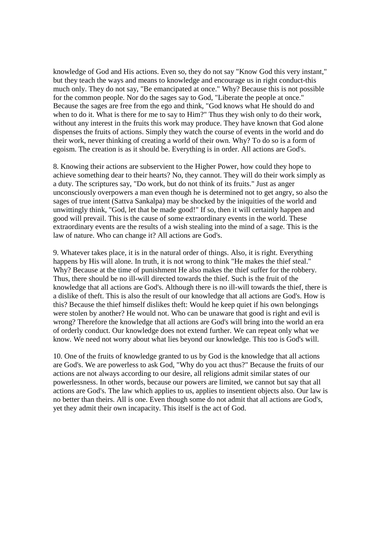knowledge of God and His actions. Even so, they do not say "Know God this very instant," but they teach the ways and means to knowledge and encourage us in right conduct-this much only. They do not say, "Be emancipated at once." Why? Because this is not possible for the common people. Nor do the sages say to God, "Liberate the people at once." Because the sages are free from the ego and think, "God knows what He should do and when to do it. What is there for me to say to Him?" Thus they wish only to do their work, without any interest in the fruits this work may produce. They have known that God alone dispenses the fruits of actions. Simply they watch the course of events in the world and do their work, never thinking of creating a world of their own. Why? To do so is a form of egoism. The creation is as it should be. Everything is in order. All actions are God's.

8. Knowing their actions are subservient to the Higher Power, how could they hope to achieve something dear to their hearts? No, they cannot. They will do their work simply as a duty. The scriptures say, "Do work, but do not think of its fruits." Just as anger unconsciously overpowers a man even though he is determined not to get angry, so also the sages of true intent (Sattva Sankalpa) may be shocked by the iniquities of the world and unwittingly think, "God, let that be made good!" If so, then it will certainly happen and good will prevail. This is the cause of some extraordinary events in the world. These extraordinary events are the results of a wish stealing into the mind of a sage. This is the law of nature. Who can change it? All actions are God's.

9. Whatever takes place, it is in the natural order of things. Also, it is right. Everything happens by His will alone. In truth, it is not wrong to think "He makes the thief steal." Why? Because at the time of punishment He also makes the thief suffer for the robbery. Thus, there should be no ill-will directed towards the thief. Such is the fruit of the knowledge that all actions are God's. Although there is no ill-will towards the thief, there is a dislike of theft. This is also the result of our knowledge that all actions are God's. How is this? Because the thief himself dislikes theft: Would he keep quiet if his own belongings were stolen by another? He would not. Who can be unaware that good is right and evil is wrong? Therefore the knowledge that all actions are God's will bring into the world an era of orderly conduct. Our knowledge does not extend further. We can repeat only what we know. We need not worry about what lies beyond our knowledge. This too is God's will.

10. One of the fruits of knowledge granted to us by God is the knowledge that all actions are God's. We are powerless to ask God, "Why do you act thus?" Because the fruits of our actions are not always according to our desire, all religions admit similar states of our powerlessness. In other words, because our powers are limited, we cannot but say that all actions are God's. The law which applies to us, applies to insentient objects also. Our law is no better than theirs. All is one. Even though some do not admit that all actions are God's, yet they admit their own incapacity. This itself is the act of God.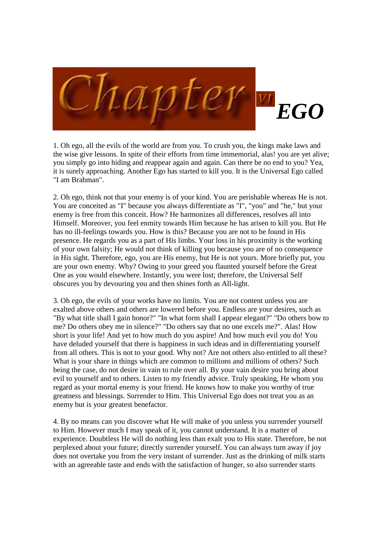

1. Oh ego, all the evils of the world are from you. To crush you, the kings make laws and the wise give lessons. In spite of their efforts from time immemorial, alas! you are yet alive; you simply go into hiding and reappear again and again. Can there be no end to you? Yea, it is surely approaching. Another Ego has started to kill you. It is the Universal Ego called "I am Brahman".

2. Oh ego, think not that your enemy is of your kind. You are perishable whereas He is not. You are conceited as "I" because you always differentiate as "I", "you" and "he," but your enemy is free from this conceit. How? He harmonizes all differences, resolves all into Himself. Moreover, you feel enmity towards Him because he has arisen to kill you. But He has no ill-feelings towards you. How is this? Because you are not to be found in His presence. He regards you as a part of His limbs. Your loss in his proximity is the working of your own falsity; He would not think of killing you because you are of no consequence in His sight. Therefore, ego, you are His enemy, but He is not yours. More briefly put, you are your own enemy. Why? Owing to your greed you flaunted yourself before the Great One as you would elsewhere. Instantly, you were lost; therefore, the Universal Self obscures you by devouring you and then shines forth as All-light.

3. Oh ego, the evils of your works have no limits. You are not content unless you are exalted above others and others are lowered before you. Endless are your desires, such as "By what title shall I gain honor?" "In what form shall I appear elegant?" "Do others bow to me? Do others obey me in silence?" "Do others say that no one excels me?". Alas! How short is your life! And yet to how much do you aspire! And how much evil you do! You have deluded yourself that there is happiness in such ideas and in differentiating yourself from all others. This is not to your good. Why not? Are not others also entitled to all these? What is your share in things which are common to millions and millions of others? Such being the case, do not desire in vain to rule over all. By your vain desire you bring about evil to yourself and to others. Listen to my friendly advice. Truly speaking, He whom you regard as your mortal enemy is your friend. He knows how to make you worthy of true greatness and blessings. Surrender to Him. This Universal Ego does not treat you as an enemy but is your greatest benefactor.

4. By no means can you discover what He will make of you unless you surrender yourself to Him. However much I may speak of it, you cannot understand. It is a matter of experience. Doubtless He will do nothing less than exalt you to His state. Therefore, be not perplexed about your future; directly surrender yourself. You can always turn away if joy does not overtake you from the very instant of surrender. Just as the drinking of milk starts with an agreeable taste and ends with the satisfaction of hunger, so also surrender starts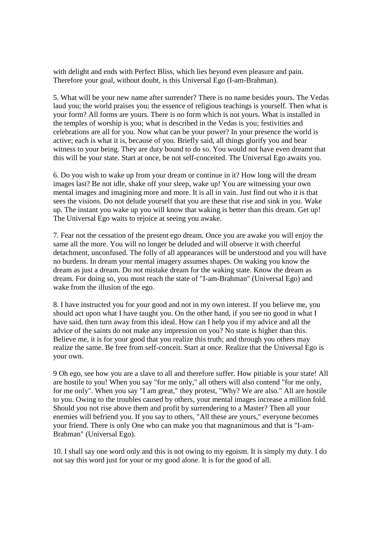with delight and ends with Perfect Bliss, which lies beyond even pleasure and pain. Therefore your goal, without doubt, is this Universal Ego (I-am-Brahman).

5. What will be your new name after surrender? There is no name besides yours. The Vedas laud you; the world praises you; the essence of religious teachings is yourself. Then what is your form? All forms are yours. There is no form which is not yours. What is installed in the temples of worship is you; what is described in the Vedas is you; festivities and celebrations are all for you. Now what can be your power? In your presence the world is active; each is what it is, because of you. Briefly said, all things glorify you and bear witness to your being. They are duty bound to do so. You would not have even dreamt that this will be your state. Start at once, be not self-conceited. The Universal Ego awaits you.

6. Do you wish to wake up from your dream or continue in it? How long will the dream images last? Be not idle, shake off your sleep, wake up! You are witnessing your own mental images and imagining more and more. It is all in vain. Just find out who it is that sees the visions. Do not delude yourself that you are these that rise and sink in you. Wake up. The instant you wake up you will know that waking is better than this dream. Get up! The Universal Ego waits to rejoice at seeing you awake.

7. Fear not the cessation of the present ego dream. Once you are awake you will enjoy the same all the more. You will no longer be deluded and will observe it with cheerful detachment, unconfused. The folly of all appearances will be understood and you will have no burdens. In dream your mental imagery assumes shapes. On waking you know the dream as just a dream. Do not mistake dream for the waking state. Know the dream as dream. For doing so, you must reach the state of "I-am-Brahman" (Universal Ego) and wake from the illusion of the ego.

8. I have instructed you for your good and not in my own interest. If you believe me, you should act upon what I have taught you. On the other hand, if you see no good in what I have said, then turn away from this ideal. How can I help you if my advice and all the advice of the saints do not make any impression on you? No state is higher than this. Believe me, it is for your good that you realize this truth; and through you others may realize the same. Be free from self-conceit. Start at once. Realize that the Universal Ego is your own.

9 Oh ego, see how you are a slave to all and therefore suffer. How pitiable is your state! All are hostile to you! When you say "for me only," all others will also contend "for me only, for me only". When you say "I am great," they protest, "Why? We are also." All are hostile to you. Owing to the troubles caused by others, your mental images increase a million fold. Should you not rise above them and profit by surrendering to a Master? Then all your enemies will befriend you. If you say to others, "All these are yours," everyone becomes your friend. There is only One who can make you that magnanimous and that is "I-am-Brahman" (Universal Ego).

10. I shall say one word only and this is not owing to my egoism. It is simply my duty. I do not say this word just for your or my good alone. It is for the good of all.